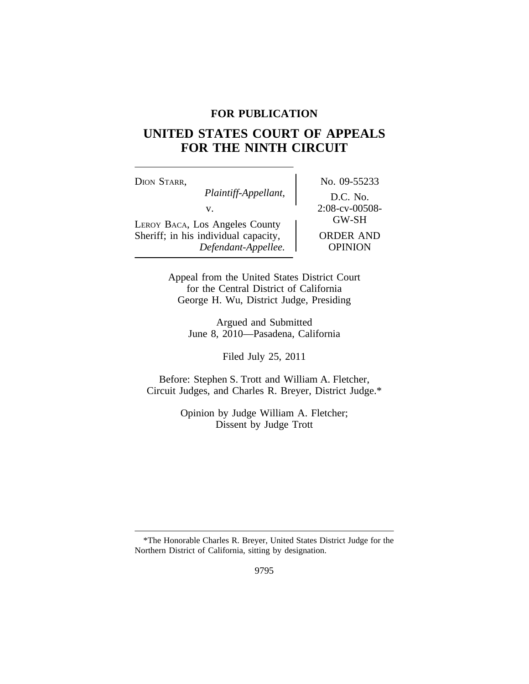# **FOR PUBLICATION**

# **UNITED STATES COURT OF APPEALS FOR THE NINTH CIRCUIT**

| DION STARR,                          | No. 09-55233     |
|--------------------------------------|------------------|
| Plaintiff-Appellant,                 | D.C. No.         |
| V.                                   | 2:08-cv-00508-   |
| LEROY BACA, Los Angeles County       | <b>GW-SH</b>     |
| Sheriff; in his individual capacity, | <b>ORDER AND</b> |
| Defendant-Appellee.                  | <b>OPINION</b>   |

 $\log_{10} 09 - 55233$ *Plaintiff-Appellant,* D.C. No. ORDER AND *Defendant-Appellee.* OPINION

Appeal from the United States District Court for the Central District of California George H. Wu, District Judge, Presiding

> Argued and Submitted June 8, 2010—Pasadena, California

> > Filed July 25, 2011

Before: Stephen S. Trott and William A. Fletcher, Circuit Judges, and Charles R. Breyer, District Judge.\*

> Opinion by Judge William A. Fletcher; Dissent by Judge Trott

<sup>\*</sup>The Honorable Charles R. Breyer, United States District Judge for the Northern District of California, sitting by designation.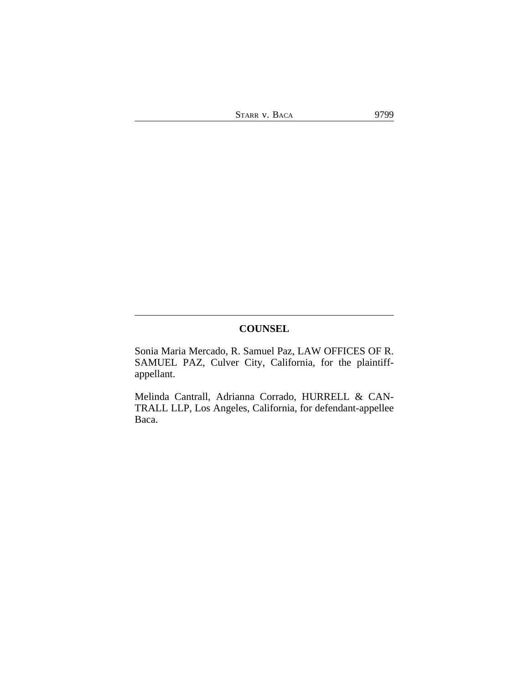STARR V. BACA 9799

**COUNSEL**

Sonia Maria Mercado, R. Samuel Paz, LAW OFFICES OF R. SAMUEL PAZ, Culver City, California, for the plaintiffappellant.

Melinda Cantrall, Adrianna Corrado, HURRELL & CAN-TRALL LLP, Los Angeles, California, for defendant-appellee Baca.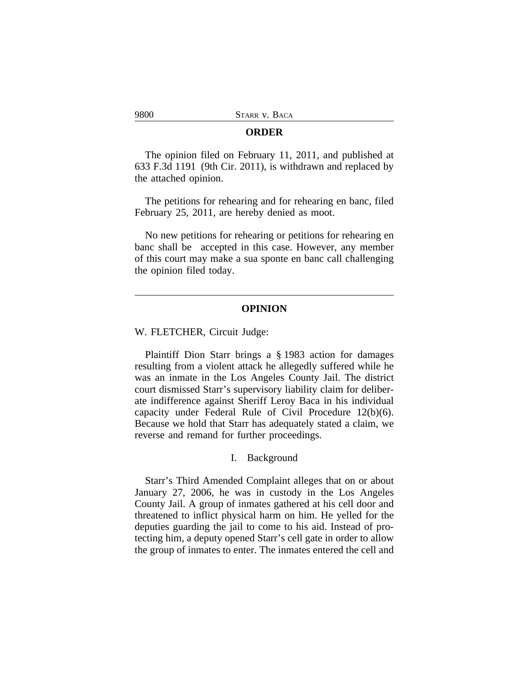#### **ORDER**

The opinion filed on February 11, 2011, and published at 633 F.3d 1191 (9th Cir. 2011), is withdrawn and replaced by the attached opinion.

The petitions for rehearing and for rehearing en banc, filed February 25, 2011, are hereby denied as moot.

No new petitions for rehearing or petitions for rehearing en banc shall be accepted in this case. However, any member of this court may make a sua sponte en banc call challenging the opinion filed today.

## **OPINION**

W. FLETCHER, Circuit Judge:

Plaintiff Dion Starr brings a § 1983 action for damages resulting from a violent attack he allegedly suffered while he was an inmate in the Los Angeles County Jail. The district court dismissed Starr's supervisory liability claim for deliberate indifference against Sheriff Leroy Baca in his individual capacity under Federal Rule of Civil Procedure 12(b)(6). Because we hold that Starr has adequately stated a claim, we reverse and remand for further proceedings.

#### I. Background

Starr's Third Amended Complaint alleges that on or about January 27, 2006, he was in custody in the Los Angeles County Jail. A group of inmates gathered at his cell door and threatened to inflict physical harm on him. He yelled for the deputies guarding the jail to come to his aid. Instead of protecting him, a deputy opened Starr's cell gate in order to allow the group of inmates to enter. The inmates entered the cell and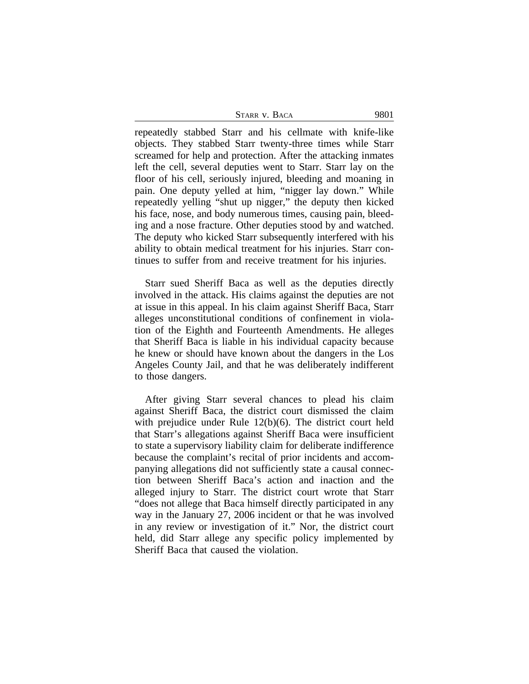| STARR V. BACA | 9801 |
|---------------|------|
|---------------|------|

repeatedly stabbed Starr and his cellmate with knife-like objects. They stabbed Starr twenty-three times while Starr screamed for help and protection. After the attacking inmates left the cell, several deputies went to Starr. Starr lay on the floor of his cell, seriously injured, bleeding and moaning in pain. One deputy yelled at him, "nigger lay down." While repeatedly yelling "shut up nigger," the deputy then kicked his face, nose, and body numerous times, causing pain, bleeding and a nose fracture. Other deputies stood by and watched. The deputy who kicked Starr subsequently interfered with his ability to obtain medical treatment for his injuries. Starr continues to suffer from and receive treatment for his injuries.

Starr sued Sheriff Baca as well as the deputies directly involved in the attack. His claims against the deputies are not at issue in this appeal. In his claim against Sheriff Baca, Starr alleges unconstitutional conditions of confinement in violation of the Eighth and Fourteenth Amendments. He alleges that Sheriff Baca is liable in his individual capacity because he knew or should have known about the dangers in the Los Angeles County Jail, and that he was deliberately indifferent to those dangers.

After giving Starr several chances to plead his claim against Sheriff Baca, the district court dismissed the claim with prejudice under Rule 12(b)(6). The district court held that Starr's allegations against Sheriff Baca were insufficient to state a supervisory liability claim for deliberate indifference because the complaint's recital of prior incidents and accompanying allegations did not sufficiently state a causal connection between Sheriff Baca's action and inaction and the alleged injury to Starr. The district court wrote that Starr "does not allege that Baca himself directly participated in any way in the January 27, 2006 incident or that he was involved in any review or investigation of it." Nor, the district court held, did Starr allege any specific policy implemented by Sheriff Baca that caused the violation.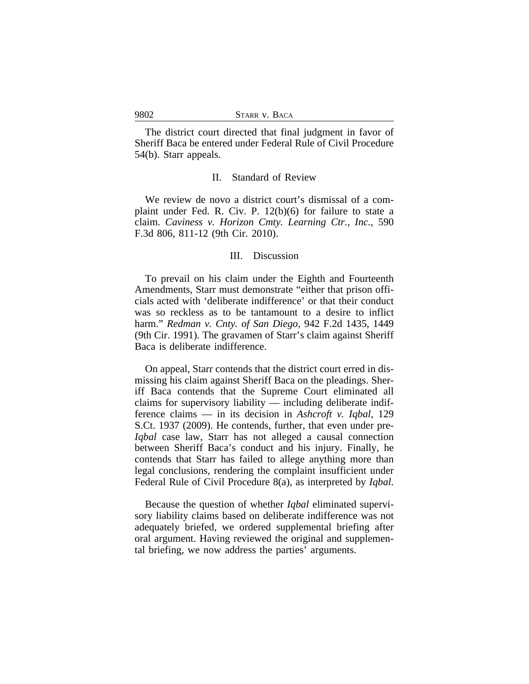The district court directed that final judgment in favor of Sheriff Baca be entered under Federal Rule of Civil Procedure 54(b). Starr appeals.

#### II. Standard of Review

We review de novo a district court's dismissal of a complaint under Fed. R. Civ. P. 12(b)(6) for failure to state a claim. *Caviness v. Horizon Cmty. Learning Ctr., Inc.*, 590 F.3d 806, 811-12 (9th Cir. 2010).

## III. Discussion

To prevail on his claim under the Eighth and Fourteenth Amendments, Starr must demonstrate "either that prison officials acted with 'deliberate indifference' or that their conduct was so reckless as to be tantamount to a desire to inflict harm." *Redman v. Cnty. of San Diego*, 942 F.2d 1435, 1449 (9th Cir. 1991). The gravamen of Starr's claim against Sheriff Baca is deliberate indifference.

On appeal, Starr contends that the district court erred in dismissing his claim against Sheriff Baca on the pleadings. Sheriff Baca contends that the Supreme Court eliminated all claims for supervisory liability — including deliberate indifference claims — in its decision in *Ashcroft v. Iqbal*, 129 S.Ct. 1937 (2009). He contends, further, that even under pre-*Iqbal* case law, Starr has not alleged a causal connection between Sheriff Baca's conduct and his injury. Finally, he contends that Starr has failed to allege anything more than legal conclusions, rendering the complaint insufficient under Federal Rule of Civil Procedure 8(a), as interpreted by *Iqbal*.

Because the question of whether *Iqbal* eliminated supervisory liability claims based on deliberate indifference was not adequately briefed, we ordered supplemental briefing after oral argument. Having reviewed the original and supplemental briefing, we now address the parties' arguments.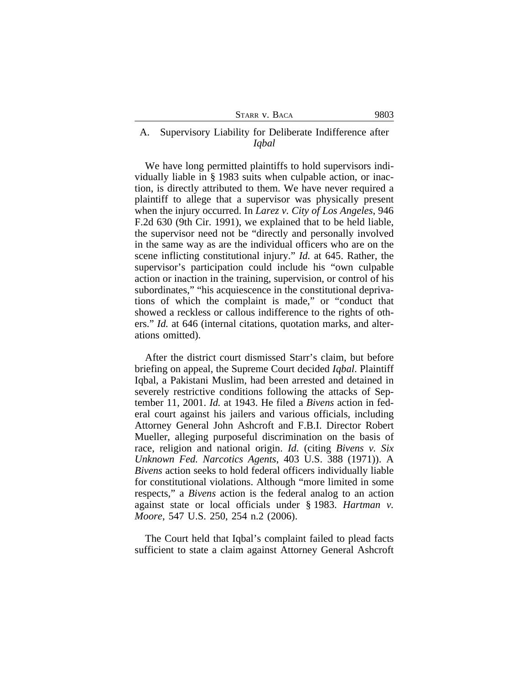| STARR V. BACA |  |  |
|---------------|--|--|
|---------------|--|--|

# A. Supervisory Liability for Deliberate Indifference after *Iqbal*

We have long permitted plaintiffs to hold supervisors individually liable in § 1983 suits when culpable action, or inaction, is directly attributed to them. We have never required a plaintiff to allege that a supervisor was physically present when the injury occurred. In *Larez v. City of Los Angeles*, 946 F.2d 630 (9th Cir. 1991), we explained that to be held liable, the supervisor need not be "directly and personally involved in the same way as are the individual officers who are on the scene inflicting constitutional injury." *Id.* at 645. Rather, the supervisor's participation could include his "own culpable action or inaction in the training, supervision, or control of his subordinates," "his acquiescence in the constitutional deprivations of which the complaint is made," or "conduct that showed a reckless or callous indifference to the rights of others." *Id.* at 646 (internal citations, quotation marks, and alterations omitted).

After the district court dismissed Starr's claim, but before briefing on appeal, the Supreme Court decided *Iqbal*. Plaintiff Iqbal, a Pakistani Muslim, had been arrested and detained in severely restrictive conditions following the attacks of September 11, 2001. *Id.* at 1943. He filed a *Bivens* action in federal court against his jailers and various officials, including Attorney General John Ashcroft and F.B.I. Director Robert Mueller, alleging purposeful discrimination on the basis of race, religion and national origin. *Id.* (citing *Bivens v. Six Unknown Fed. Narcotics Agents*, 403 U.S. 388 (1971)). A *Bivens* action seeks to hold federal officers individually liable for constitutional violations. Although "more limited in some respects," a *Bivens* action is the federal analog to an action against state or local officials under § 1983. *Hartman v. Moore*, 547 U.S. 250, 254 n.2 (2006).

The Court held that Iqbal's complaint failed to plead facts sufficient to state a claim against Attorney General Ashcroft

9803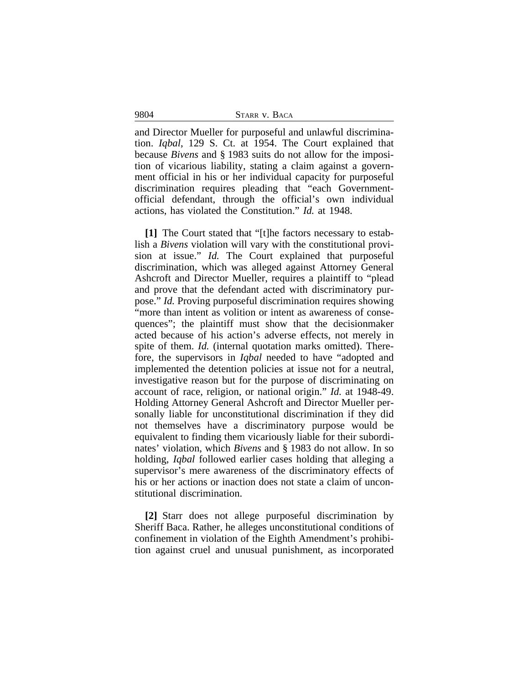9804 STARR v. BACA

and Director Mueller for purposeful and unlawful discrimination. *Iqbal*, 129 S. Ct. at 1954. The Court explained that because *Bivens* and § 1983 suits do not allow for the imposition of vicarious liability, stating a claim against a government official in his or her individual capacity for purposeful discrimination requires pleading that "each Governmentofficial defendant, through the official's own individual actions, has violated the Constitution." *Id.* at 1948.

**[1]** The Court stated that "[t]he factors necessary to establish a *Bivens* violation will vary with the constitutional provision at issue." *Id.* The Court explained that purposeful discrimination, which was alleged against Attorney General Ashcroft and Director Mueller, requires a plaintiff to "plead and prove that the defendant acted with discriminatory purpose." *Id.* Proving purposeful discrimination requires showing "more than intent as volition or intent as awareness of consequences"; the plaintiff must show that the decisionmaker acted because of his action's adverse effects, not merely in spite of them. *Id.* (internal quotation marks omitted). Therefore, the supervisors in *Iqbal* needed to have "adopted and implemented the detention policies at issue not for a neutral, investigative reason but for the purpose of discriminating on account of race, religion, or national origin." *Id.* at 1948-49. Holding Attorney General Ashcroft and Director Mueller personally liable for unconstitutional discrimination if they did not themselves have a discriminatory purpose would be equivalent to finding them vicariously liable for their subordinates' violation, which *Bivens* and § 1983 do not allow. In so holding, *Iqbal* followed earlier cases holding that alleging a supervisor's mere awareness of the discriminatory effects of his or her actions or inaction does not state a claim of unconstitutional discrimination.

**[2]** Starr does not allege purposeful discrimination by Sheriff Baca. Rather, he alleges unconstitutional conditions of confinement in violation of the Eighth Amendment's prohibition against cruel and unusual punishment, as incorporated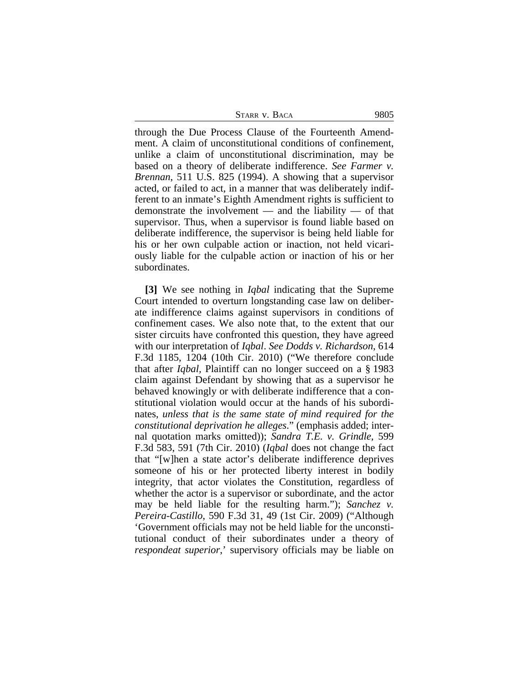STARR V. BACA 9805

through the Due Process Clause of the Fourteenth Amendment. A claim of unconstitutional conditions of confinement, unlike a claim of unconstitutional discrimination, may be based on a theory of deliberate indifference. *See Farmer v. Brennan*, 511 U.S. 825 (1994). A showing that a supervisor acted, or failed to act, in a manner that was deliberately indifferent to an inmate's Eighth Amendment rights is sufficient to demonstrate the involvement — and the liability — of that supervisor. Thus, when a supervisor is found liable based on deliberate indifference, the supervisor is being held liable for his or her own culpable action or inaction, not held vicariously liable for the culpable action or inaction of his or her subordinates.

**[3]** We see nothing in *Iqbal* indicating that the Supreme Court intended to overturn longstanding case law on deliberate indifference claims against supervisors in conditions of confinement cases. We also note that, to the extent that our sister circuits have confronted this question, they have agreed with our interpretation of *Iqbal*. *See Dodds v. Richardson*, 614 F.3d 1185, 1204 (10th Cir. 2010) ("We therefore conclude that after *Iqbal,* Plaintiff can no longer succeed on a § 1983 claim against Defendant by showing that as a supervisor he behaved knowingly or with deliberate indifference that a constitutional violation would occur at the hands of his subordinates, *unless that is the same state of mind required for the constitutional deprivation he alleges*." (emphasis added; internal quotation marks omitted)); *Sandra T.E. v. Grindle*, 599 F.3d 583, 591 (7th Cir. 2010) (*Iqbal* does not change the fact that "[w]hen a state actor's deliberate indifference deprives someone of his or her protected liberty interest in bodily integrity, that actor violates the Constitution, regardless of whether the actor is a supervisor or subordinate, and the actor may be held liable for the resulting harm."); *Sanchez v. Pereira-Castillo*, 590 F.3d 31, 49 (1st Cir. 2009) ("Although 'Government officials may not be held liable for the unconstitutional conduct of their subordinates under a theory of *respondeat superior*,' supervisory officials may be liable on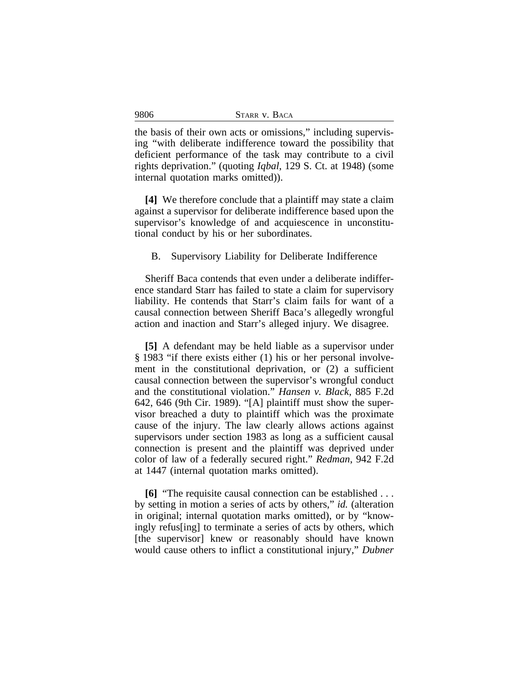| 9806<br>STARR V. BACA |
|-----------------------|
|-----------------------|

the basis of their own acts or omissions," including supervising "with deliberate indifference toward the possibility that deficient performance of the task may contribute to a civil rights deprivation." (quoting *Iqbal*, 129 S. Ct. at 1948) (some internal quotation marks omitted)).

**[4]** We therefore conclude that a plaintiff may state a claim against a supervisor for deliberate indifference based upon the supervisor's knowledge of and acquiescence in unconstitutional conduct by his or her subordinates.

B. Supervisory Liability for Deliberate Indifference

Sheriff Baca contends that even under a deliberate indifference standard Starr has failed to state a claim for supervisory liability. He contends that Starr's claim fails for want of a causal connection between Sheriff Baca's allegedly wrongful action and inaction and Starr's alleged injury. We disagree.

**[5]** A defendant may be held liable as a supervisor under § 1983 "if there exists either (1) his or her personal involvement in the constitutional deprivation, or (2) a sufficient causal connection between the supervisor's wrongful conduct and the constitutional violation." *Hansen v. Black*, 885 F.2d 642, 646 (9th Cir. 1989). "[A] plaintiff must show the supervisor breached a duty to plaintiff which was the proximate cause of the injury. The law clearly allows actions against supervisors under section 1983 as long as a sufficient causal connection is present and the plaintiff was deprived under color of law of a federally secured right." *Redman*, 942 F.2d at 1447 (internal quotation marks omitted).

**[6]** "The requisite causal connection can be established . . . by setting in motion a series of acts by others," *id.* (alteration in original; internal quotation marks omitted), or by "knowingly refus[ing] to terminate a series of acts by others, which [the supervisor] knew or reasonably should have known would cause others to inflict a constitutional injury," *Dubner*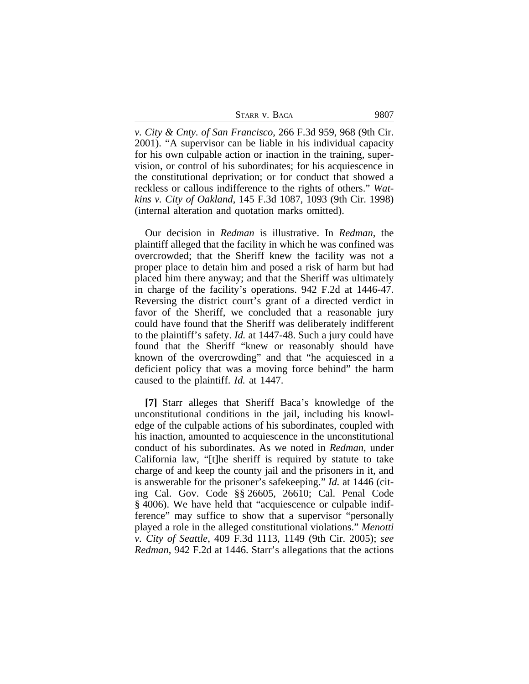| STARR V. BACA | 9807 |
|---------------|------|
|---------------|------|

*v. City & Cnty. of San Francisco*, 266 F.3d 959, 968 (9th Cir. 2001). "A supervisor can be liable in his individual capacity for his own culpable action or inaction in the training, supervision, or control of his subordinates; for his acquiescence in the constitutional deprivation; or for conduct that showed a reckless or callous indifference to the rights of others." *Watkins v. City of Oakland*, 145 F.3d 1087, 1093 (9th Cir. 1998) (internal alteration and quotation marks omitted).

Our decision in *Redman* is illustrative. In *Redman*, the plaintiff alleged that the facility in which he was confined was overcrowded; that the Sheriff knew the facility was not a proper place to detain him and posed a risk of harm but had placed him there anyway; and that the Sheriff was ultimately in charge of the facility's operations. 942 F.2d at 1446-47. Reversing the district court's grant of a directed verdict in favor of the Sheriff, we concluded that a reasonable jury could have found that the Sheriff was deliberately indifferent to the plaintiff's safety. *Id.* at 1447-48. Such a jury could have found that the Sheriff "knew or reasonably should have known of the overcrowding" and that "he acquiesced in a deficient policy that was a moving force behind" the harm caused to the plaintiff. *Id.* at 1447.

**[7]** Starr alleges that Sheriff Baca's knowledge of the unconstitutional conditions in the jail, including his knowledge of the culpable actions of his subordinates, coupled with his inaction, amounted to acquiescence in the unconstitutional conduct of his subordinates. As we noted in *Redman*, under California law, "[t]he sheriff is required by statute to take charge of and keep the county jail and the prisoners in it, and is answerable for the prisoner's safekeeping." *Id.* at 1446 (citing Cal. Gov. Code §§ 26605, 26610; Cal. Penal Code § 4006). We have held that "acquiescence or culpable indifference" may suffice to show that a supervisor "personally played a role in the alleged constitutional violations." *Menotti v. City of Seattle*, 409 F.3d 1113, 1149 (9th Cir. 2005); *see Redman*, 942 F.2d at 1446. Starr's allegations that the actions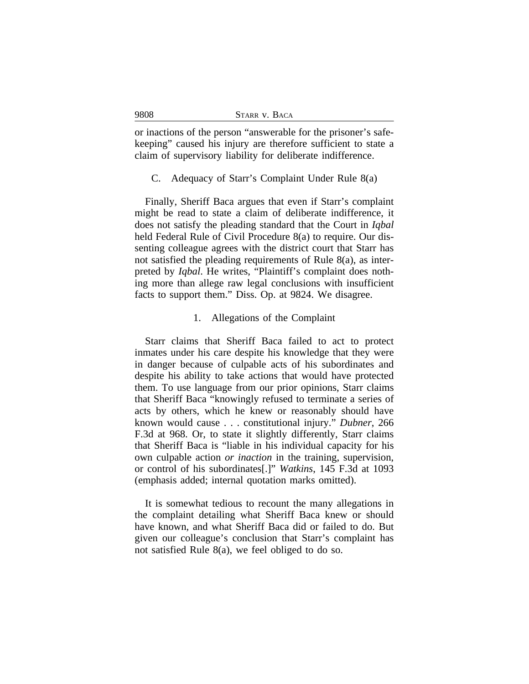| STARR V. BACA |  |  |  |
|---------------|--|--|--|
|---------------|--|--|--|

or inactions of the person "answerable for the prisoner's safekeeping" caused his injury are therefore sufficient to state a claim of supervisory liability for deliberate indifference.

C. Adequacy of Starr's Complaint Under Rule 8(a)

Finally, Sheriff Baca argues that even if Starr's complaint might be read to state a claim of deliberate indifference, it does not satisfy the pleading standard that the Court in *Iqbal* held Federal Rule of Civil Procedure 8(a) to require. Our dissenting colleague agrees with the district court that Starr has not satisfied the pleading requirements of Rule 8(a), as interpreted by *Iqbal*. He writes, "Plaintiff's complaint does nothing more than allege raw legal conclusions with insufficient facts to support them." Diss. Op. at 9824. We disagree.

# 1. Allegations of the Complaint

Starr claims that Sheriff Baca failed to act to protect inmates under his care despite his knowledge that they were in danger because of culpable acts of his subordinates and despite his ability to take actions that would have protected them. To use language from our prior opinions, Starr claims that Sheriff Baca "knowingly refused to terminate a series of acts by others, which he knew or reasonably should have known would cause . . . constitutional injury." *Dubner*, 266 F.3d at 968. Or, to state it slightly differently, Starr claims that Sheriff Baca is "liable in his individual capacity for his own culpable action *or inaction* in the training, supervision, or control of his subordinates[.]" *Watkins*, 145 F.3d at 1093 (emphasis added; internal quotation marks omitted).

It is somewhat tedious to recount the many allegations in the complaint detailing what Sheriff Baca knew or should have known, and what Sheriff Baca did or failed to do. But given our colleague's conclusion that Starr's complaint has not satisfied Rule 8(a), we feel obliged to do so.

9808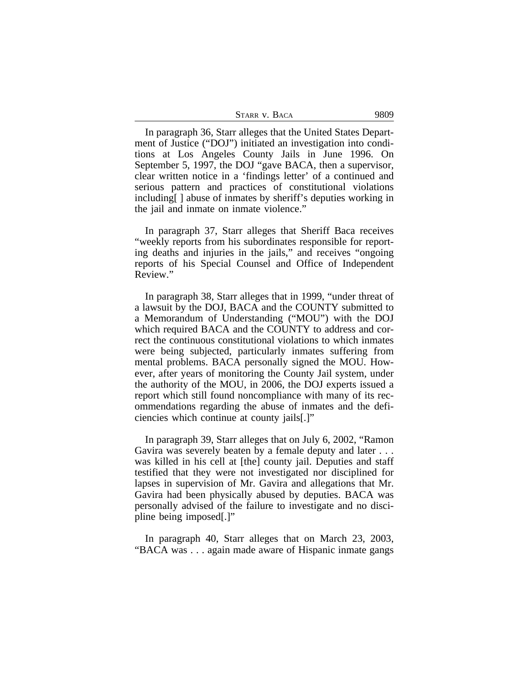| STARR V. BACA | 9809 |
|---------------|------|
|---------------|------|

In paragraph 36, Starr alleges that the United States Department of Justice ("DOJ") initiated an investigation into conditions at Los Angeles County Jails in June 1996. On September 5, 1997, the DOJ "gave BACA, then a supervisor, clear written notice in a 'findings letter' of a continued and serious pattern and practices of constitutional violations including[ ] abuse of inmates by sheriff's deputies working in the jail and inmate on inmate violence."

In paragraph 37, Starr alleges that Sheriff Baca receives "weekly reports from his subordinates responsible for reporting deaths and injuries in the jails," and receives "ongoing reports of his Special Counsel and Office of Independent Review."

In paragraph 38, Starr alleges that in 1999, "under threat of a lawsuit by the DOJ, BACA and the COUNTY submitted to a Memorandum of Understanding ("MOU") with the DOJ which required BACA and the COUNTY to address and correct the continuous constitutional violations to which inmates were being subjected, particularly inmates suffering from mental problems. BACA personally signed the MOU. However, after years of monitoring the County Jail system, under the authority of the MOU, in 2006, the DOJ experts issued a report which still found noncompliance with many of its recommendations regarding the abuse of inmates and the deficiencies which continue at county jails[.]"

In paragraph 39, Starr alleges that on July 6, 2002, "Ramon Gavira was severely beaten by a female deputy and later . . . was killed in his cell at [the] county jail. Deputies and staff testified that they were not investigated nor disciplined for lapses in supervision of Mr. Gavira and allegations that Mr. Gavira had been physically abused by deputies. BACA was personally advised of the failure to investigate and no discipline being imposed[.]"

In paragraph 40, Starr alleges that on March 23, 2003, "BACA was . . . again made aware of Hispanic inmate gangs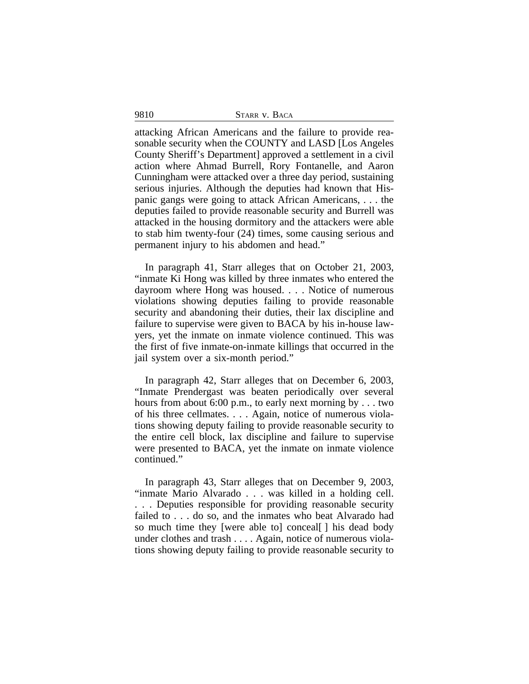9810 STARR v. BACA

attacking African Americans and the failure to provide reasonable security when the COUNTY and LASD [Los Angeles County Sheriff's Department] approved a settlement in a civil action where Ahmad Burrell, Rory Fontanelle, and Aaron Cunningham were attacked over a three day period, sustaining serious injuries. Although the deputies had known that Hispanic gangs were going to attack African Americans, . . . the deputies failed to provide reasonable security and Burrell was attacked in the housing dormitory and the attackers were able to stab him twenty-four (24) times, some causing serious and permanent injury to his abdomen and head."

In paragraph 41, Starr alleges that on October 21, 2003, "inmate Ki Hong was killed by three inmates who entered the dayroom where Hong was housed. . . . Notice of numerous violations showing deputies failing to provide reasonable security and abandoning their duties, their lax discipline and failure to supervise were given to BACA by his in-house lawyers, yet the inmate on inmate violence continued. This was the first of five inmate-on-inmate killings that occurred in the jail system over a six-month period."

In paragraph 42, Starr alleges that on December 6, 2003, "Inmate Prendergast was beaten periodically over several hours from about 6:00 p.m., to early next morning by . . . two of his three cellmates. . . . Again, notice of numerous violations showing deputy failing to provide reasonable security to the entire cell block, lax discipline and failure to supervise were presented to BACA, yet the inmate on inmate violence continued."

In paragraph 43, Starr alleges that on December 9, 2003, "inmate Mario Alvarado . . . was killed in a holding cell. . . . Deputies responsible for providing reasonable security failed to . . . do so, and the inmates who beat Alvarado had so much time they [were able to] conceal[ ] his dead body under clothes and trash . . . . Again, notice of numerous violations showing deputy failing to provide reasonable security to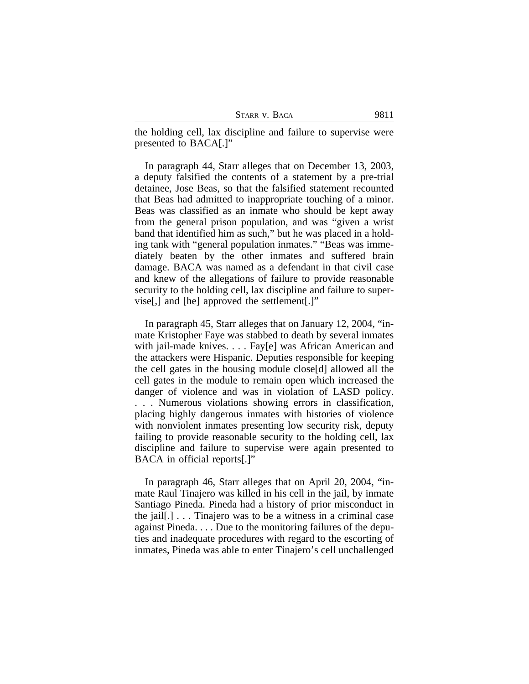| Starr v. Baca |  |  |
|---------------|--|--|
|---------------|--|--|

the holding cell, lax discipline and failure to supervise were presented to BACA[.]"

In paragraph 44, Starr alleges that on December 13, 2003, a deputy falsified the contents of a statement by a pre-trial detainee, Jose Beas, so that the falsified statement recounted that Beas had admitted to inappropriate touching of a minor. Beas was classified as an inmate who should be kept away from the general prison population, and was "given a wrist band that identified him as such," but he was placed in a holding tank with "general population inmates." "Beas was immediately beaten by the other inmates and suffered brain damage. BACA was named as a defendant in that civil case and knew of the allegations of failure to provide reasonable security to the holding cell, lax discipline and failure to supervise[,] and [he] approved the settlement[.]"

In paragraph 45, Starr alleges that on January 12, 2004, "inmate Kristopher Faye was stabbed to death by several inmates with jail-made knives. . . . Fay[e] was African American and the attackers were Hispanic. Deputies responsible for keeping the cell gates in the housing module close[d] allowed all the cell gates in the module to remain open which increased the danger of violence and was in violation of LASD policy. . . . Numerous violations showing errors in classification, placing highly dangerous inmates with histories of violence with nonviolent inmates presenting low security risk, deputy failing to provide reasonable security to the holding cell, lax discipline and failure to supervise were again presented to BACA in official reports[.]"

In paragraph 46, Starr alleges that on April 20, 2004, "inmate Raul Tinajero was killed in his cell in the jail, by inmate Santiago Pineda. Pineda had a history of prior misconduct in the jail[.] . . . Tinajero was to be a witness in a criminal case against Pineda. . . . Due to the monitoring failures of the deputies and inadequate procedures with regard to the escorting of inmates, Pineda was able to enter Tinajero's cell unchallenged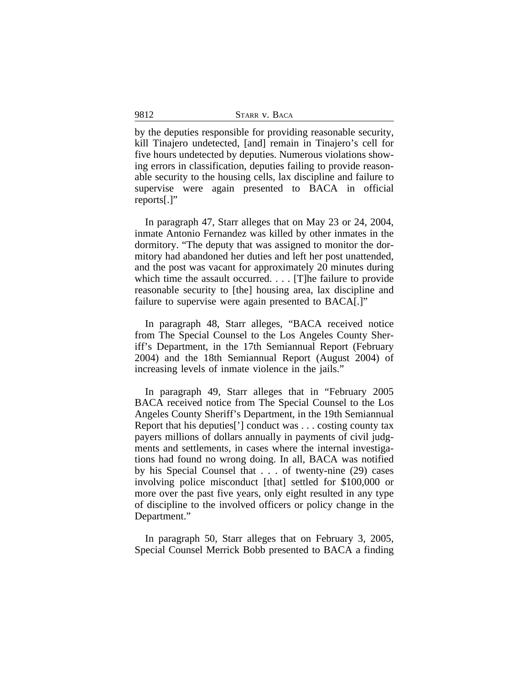by the deputies responsible for providing reasonable security, kill Tinajero undetected, [and] remain in Tinajero's cell for five hours undetected by deputies. Numerous violations showing errors in classification, deputies failing to provide reasonable security to the housing cells, lax discipline and failure to supervise were again presented to BACA in official reports[.]"

In paragraph 47, Starr alleges that on May 23 or 24, 2004, inmate Antonio Fernandez was killed by other inmates in the dormitory. "The deputy that was assigned to monitor the dormitory had abandoned her duties and left her post unattended, and the post was vacant for approximately 20 minutes during which time the assault occurred. . . . [T]he failure to provide reasonable security to [the] housing area, lax discipline and failure to supervise were again presented to BACA[.]"

In paragraph 48, Starr alleges, "BACA received notice from The Special Counsel to the Los Angeles County Sheriff's Department, in the 17th Semiannual Report (February 2004) and the 18th Semiannual Report (August 2004) of increasing levels of inmate violence in the jails."

In paragraph 49, Starr alleges that in "February 2005 BACA received notice from The Special Counsel to the Los Angeles County Sheriff's Department, in the 19th Semiannual Report that his deputies['] conduct was . . . costing county tax payers millions of dollars annually in payments of civil judgments and settlements, in cases where the internal investigations had found no wrong doing. In all, BACA was notified by his Special Counsel that . . . of twenty-nine (29) cases involving police misconduct [that] settled for \$100,000 or more over the past five years, only eight resulted in any type of discipline to the involved officers or policy change in the Department."

In paragraph 50, Starr alleges that on February 3, 2005, Special Counsel Merrick Bobb presented to BACA a finding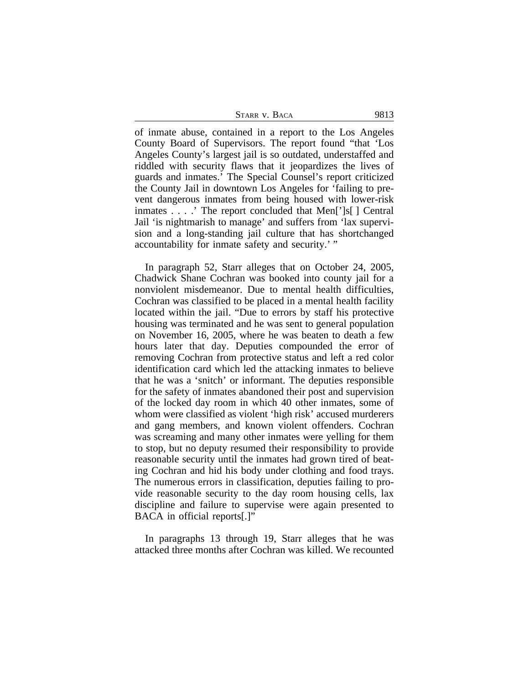| STARR V. BACA | 9813 |
|---------------|------|
|---------------|------|

of inmate abuse, contained in a report to the Los Angeles County Board of Supervisors. The report found "that 'Los Angeles County's largest jail is so outdated, understaffed and riddled with security flaws that it jeopardizes the lives of guards and inmates.' The Special Counsel's report criticized the County Jail in downtown Los Angeles for 'failing to prevent dangerous inmates from being housed with lower-risk inmates . . . .' The report concluded that Men[']s[ ] Central Jail 'is nightmarish to manage' and suffers from 'lax supervision and a long-standing jail culture that has shortchanged accountability for inmate safety and security.' "

In paragraph 52, Starr alleges that on October 24, 2005, Chadwick Shane Cochran was booked into county jail for a nonviolent misdemeanor. Due to mental health difficulties, Cochran was classified to be placed in a mental health facility located within the jail. "Due to errors by staff his protective housing was terminated and he was sent to general population on November 16, 2005, where he was beaten to death a few hours later that day. Deputies compounded the error of removing Cochran from protective status and left a red color identification card which led the attacking inmates to believe that he was a 'snitch' or informant. The deputies responsible for the safety of inmates abandoned their post and supervision of the locked day room in which 40 other inmates, some of whom were classified as violent 'high risk' accused murderers and gang members, and known violent offenders. Cochran was screaming and many other inmates were yelling for them to stop, but no deputy resumed their responsibility to provide reasonable security until the inmates had grown tired of beating Cochran and hid his body under clothing and food trays. The numerous errors in classification, deputies failing to provide reasonable security to the day room housing cells, lax discipline and failure to supervise were again presented to BACA in official reports[.]"

In paragraphs 13 through 19, Starr alleges that he was attacked three months after Cochran was killed. We recounted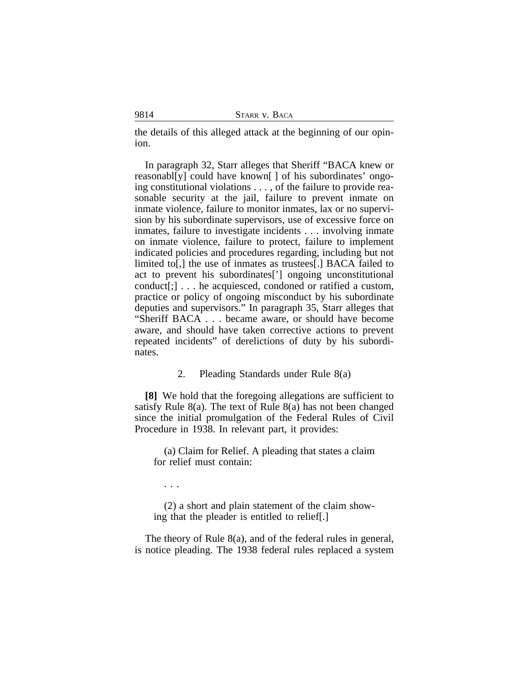the details of this alleged attack at the beginning of our opinion.

In paragraph 32, Starr alleges that Sheriff "BACA knew or reasonabl[y] could have known[ ] of his subordinates' ongoing constitutional violations . . . , of the failure to provide reasonable security at the jail, failure to prevent inmate on inmate violence, failure to monitor inmates, lax or no supervision by his subordinate supervisors, use of excessive force on inmates, failure to investigate incidents . . . involving inmate on inmate violence, failure to protect, failure to implement indicated policies and procedures regarding, including but not limited to[,] the use of inmates as trustees[.] BACA failed to act to prevent his subordinates['] ongoing unconstitutional conduct[;] . . . he acquiesced, condoned or ratified a custom, practice or policy of ongoing misconduct by his subordinate deputies and supervisors." In paragraph 35, Starr alleges that "Sheriff BACA . . . became aware, or should have become aware, and should have taken corrective actions to prevent repeated incidents" of derelictions of duty by his subordinates.

#### 2. Pleading Standards under Rule 8(a)

**[8]** We hold that the foregoing allegations are sufficient to satisfy Rule 8(a). The text of Rule 8(a) has not been changed since the initial promulgation of the Federal Rules of Civil Procedure in 1938. In relevant part, it provides:

(a) Claim for Relief. A pleading that states a claim for relief must contain:

. . .

(2) a short and plain statement of the claim showing that the pleader is entitled to relief[.]

The theory of Rule 8(a), and of the federal rules in general, is notice pleading. The 1938 federal rules replaced a system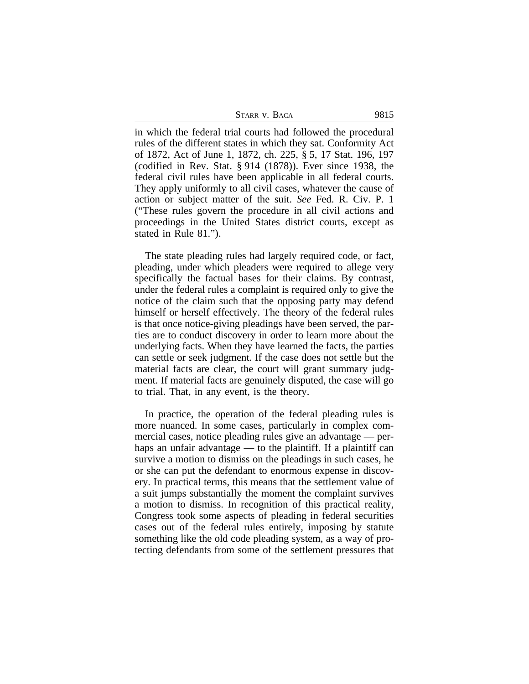| STARR V. BACA | 9815 |
|---------------|------|
|---------------|------|

in which the federal trial courts had followed the procedural rules of the different states in which they sat. Conformity Act of 1872, Act of June 1, 1872, ch. 225, § 5, 17 Stat. 196, 197 (codified in Rev. Stat. § 914 (1878)). Ever since 1938, the federal civil rules have been applicable in all federal courts. They apply uniformly to all civil cases, whatever the cause of action or subject matter of the suit. *See* Fed. R. Civ. P. 1 ("These rules govern the procedure in all civil actions and proceedings in the United States district courts, except as stated in Rule 81.").

The state pleading rules had largely required code, or fact, pleading, under which pleaders were required to allege very specifically the factual bases for their claims. By contrast, under the federal rules a complaint is required only to give the notice of the claim such that the opposing party may defend himself or herself effectively. The theory of the federal rules is that once notice-giving pleadings have been served, the parties are to conduct discovery in order to learn more about the underlying facts. When they have learned the facts, the parties can settle or seek judgment. If the case does not settle but the material facts are clear, the court will grant summary judgment. If material facts are genuinely disputed, the case will go to trial. That, in any event, is the theory.

In practice, the operation of the federal pleading rules is more nuanced. In some cases, particularly in complex commercial cases, notice pleading rules give an advantage — perhaps an unfair advantage — to the plaintiff. If a plaintiff can survive a motion to dismiss on the pleadings in such cases, he or she can put the defendant to enormous expense in discovery. In practical terms, this means that the settlement value of a suit jumps substantially the moment the complaint survives a motion to dismiss. In recognition of this practical reality, Congress took some aspects of pleading in federal securities cases out of the federal rules entirely, imposing by statute something like the old code pleading system, as a way of protecting defendants from some of the settlement pressures that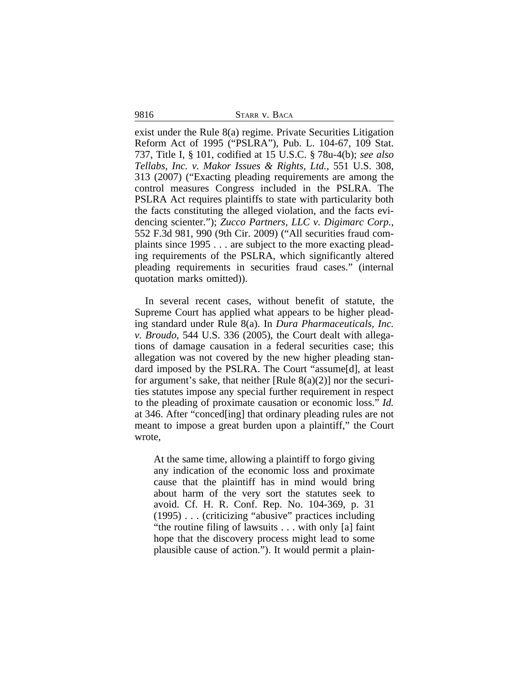9816 STARR V. BACA

exist under the Rule 8(a) regime. Private Securities Litigation Reform Act of 1995 ("PSLRA"), Pub. L. 104-67, 109 Stat. 737, Title I, § 101, codified at 15 U.S.C. § 78u-4(b); *see also Tellabs, Inc. v. Makor Issues & Rights, Ltd.*, 551 U.S. 308, 313 (2007) ("Exacting pleading requirements are among the control measures Congress included in the PSLRA. The PSLRA Act requires plaintiffs to state with particularity both the facts constituting the alleged violation, and the facts evidencing scienter."); *Zucco Partners, LLC v. Digimarc Corp.*, 552 F.3d 981, 990 (9th Cir. 2009) ("All securities fraud complaints since 1995 . . . are subject to the more exacting pleading requirements of the PSLRA, which significantly altered pleading requirements in securities fraud cases." (internal quotation marks omitted)).

In several recent cases, without benefit of statute, the Supreme Court has applied what appears to be higher pleading standard under Rule 8(a). In *Dura Pharmaceuticals, Inc. v. Broudo*, 544 U.S. 336 (2005), the Court dealt with allegations of damage causation in a federal securities case; this allegation was not covered by the new higher pleading standard imposed by the PSLRA. The Court "assume[d], at least for argument's sake, that neither [Rule  $8(a)(2)$ ] nor the securities statutes impose any special further requirement in respect to the pleading of proximate causation or economic loss." *Id.* at 346. After "conced[ing] that ordinary pleading rules are not meant to impose a great burden upon a plaintiff," the Court wrote,

At the same time, allowing a plaintiff to forgo giving any indication of the economic loss and proximate cause that the plaintiff has in mind would bring about harm of the very sort the statutes seek to avoid. Cf. H. R. Conf. Rep. No. 104-369, p. 31 (1995) . . . (criticizing "abusive" practices including "the routine filing of lawsuits . . . with only [a] faint hope that the discovery process might lead to some plausible cause of action."). It would permit a plain-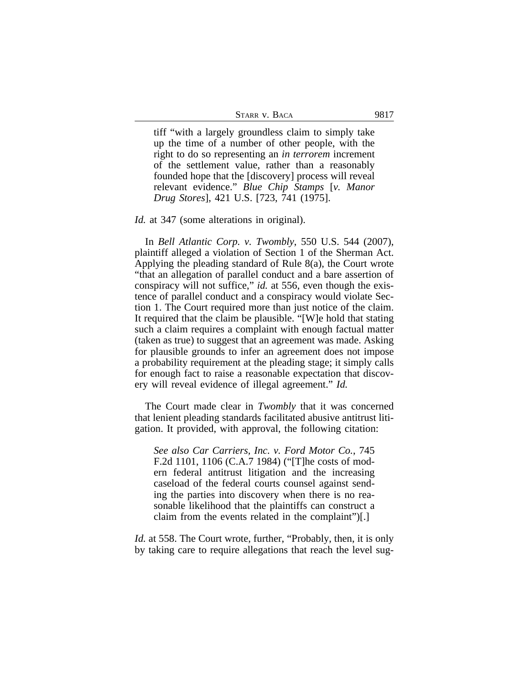| Starr v. Baca |  |  |  |
|---------------|--|--|--|
|---------------|--|--|--|

tiff "with a largely groundless claim to simply take up the time of a number of other people, with the right to do so representing an *in terrorem* increment of the settlement value, rather than a reasonably founded hope that the [discovery] process will reveal relevant evidence." *Blue Chip Stamps* [*v. Manor Drug Stores*], 421 U.S. [723, 741 (1975].

*Id.* at 347 (some alterations in original).

In *Bell Atlantic Corp. v. Twombly*, 550 U.S. 544 (2007), plaintiff alleged a violation of Section 1 of the Sherman Act. Applying the pleading standard of Rule 8(a), the Court wrote "that an allegation of parallel conduct and a bare assertion of conspiracy will not suffice," *id.* at 556, even though the existence of parallel conduct and a conspiracy would violate Section 1. The Court required more than just notice of the claim. It required that the claim be plausible. "[W]e hold that stating such a claim requires a complaint with enough factual matter (taken as true) to suggest that an agreement was made. Asking for plausible grounds to infer an agreement does not impose a probability requirement at the pleading stage; it simply calls for enough fact to raise a reasonable expectation that discovery will reveal evidence of illegal agreement." *Id.*

The Court made clear in *Twombly* that it was concerned that lenient pleading standards facilitated abusive antitrust litigation. It provided, with approval, the following citation:

*See also Car Carriers, Inc. v. Ford Motor Co.*, 745 F.2d 1101, 1106 (C.A.7 1984) ("[T]he costs of modern federal antitrust litigation and the increasing caseload of the federal courts counsel against sending the parties into discovery when there is no reasonable likelihood that the plaintiffs can construct a claim from the events related in the complaint")[.]

*Id.* at 558. The Court wrote, further, "Probably, then, it is only by taking care to require allegations that reach the level sug-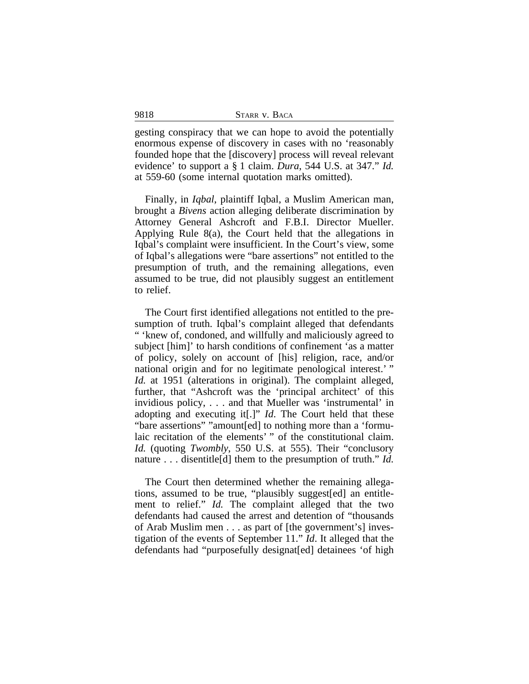| 9818 | STARR V. BACA |
|------|---------------|
|      |               |

gesting conspiracy that we can hope to avoid the potentially enormous expense of discovery in cases with no 'reasonably founded hope that the [discovery] process will reveal relevant evidence' to support a § 1 claim. *Dura*, 544 U.S. at 347." *Id.* at 559-60 (some internal quotation marks omitted).

Finally, in *Iqbal*, plaintiff Iqbal, a Muslim American man, brought a *Bivens* action alleging deliberate discrimination by Attorney General Ashcroft and F.B.I. Director Mueller. Applying Rule 8(a), the Court held that the allegations in Iqbal's complaint were insufficient. In the Court's view, some of Iqbal's allegations were "bare assertions" not entitled to the presumption of truth, and the remaining allegations, even assumed to be true, did not plausibly suggest an entitlement to relief.

The Court first identified allegations not entitled to the presumption of truth. Iqbal's complaint alleged that defendants " 'knew of, condoned, and willfully and maliciously agreed to subject [him]' to harsh conditions of confinement 'as a matter of policy, solely on account of [his] religion, race, and/or national origin and for no legitimate penological interest.'" *Id.* at 1951 (alterations in original). The complaint alleged, further, that "Ashcroft was the 'principal architect' of this invidious policy, . . . and that Mueller was 'instrumental' in adopting and executing it[.]" *Id*. The Court held that these "bare assertions" "amount[ed] to nothing more than a 'formulaic recitation of the elements' " of the constitutional claim. *Id.* (quoting *Twombly*, 550 U.S. at 555). Their "conclusory nature . . . disentitle[d] them to the presumption of truth." *Id.*

The Court then determined whether the remaining allegations, assumed to be true, "plausibly suggest[ed] an entitlement to relief." *Id.* The complaint alleged that the two defendants had caused the arrest and detention of "thousands of Arab Muslim men . . . as part of [the government's] investigation of the events of September 11." *Id*. It alleged that the defendants had "purposefully designat[ed] detainees 'of high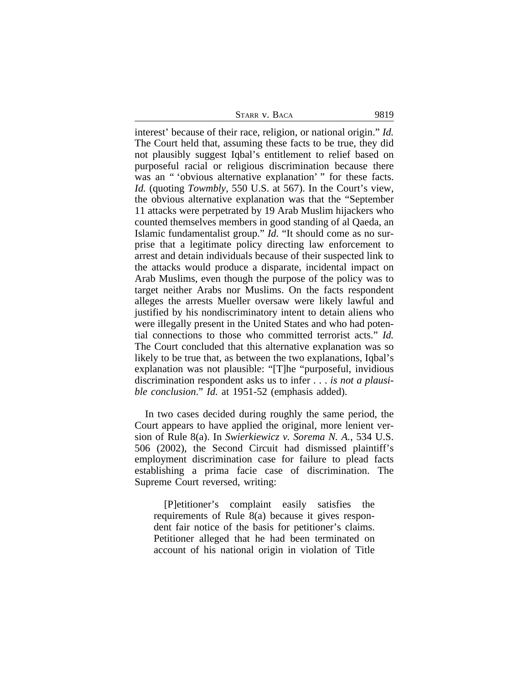STARR V. BACA 9819

interest' because of their race, religion, or national origin." *Id.* The Court held that, assuming these facts to be true, they did not plausibly suggest Iqbal's entitlement to relief based on purposeful racial or religious discrimination because there was an " 'obvious alternative explanation' " for these facts. *Id.* (quoting *Towmbly*, 550 U.S. at 567). In the Court's view, the obvious alternative explanation was that the "September 11 attacks were perpetrated by 19 Arab Muslim hijackers who counted themselves members in good standing of al Qaeda, an Islamic fundamentalist group." *Id.* "It should come as no surprise that a legitimate policy directing law enforcement to arrest and detain individuals because of their suspected link to the attacks would produce a disparate, incidental impact on Arab Muslims, even though the purpose of the policy was to target neither Arabs nor Muslims. On the facts respondent alleges the arrests Mueller oversaw were likely lawful and justified by his nondiscriminatory intent to detain aliens who were illegally present in the United States and who had potential connections to those who committed terrorist acts." *Id.* The Court concluded that this alternative explanation was so likely to be true that, as between the two explanations, Iqbal's explanation was not plausible: "[T]he "purposeful, invidious discrimination respondent asks us to infer . . . *is not a plausible conclusion*." *Id.* at 1951-52 (emphasis added).

In two cases decided during roughly the same period, the Court appears to have applied the original, more lenient version of Rule 8(a). In *Swierkiewicz v. Sorema N. A.*, 534 U.S. 506 (2002), the Second Circuit had dismissed plaintiff's employment discrimination case for failure to plead facts establishing a prima facie case of discrimination. The Supreme Court reversed, writing:

[P]etitioner's complaint easily satisfies the requirements of Rule 8(a) because it gives respondent fair notice of the basis for petitioner's claims. Petitioner alleged that he had been terminated on account of his national origin in violation of Title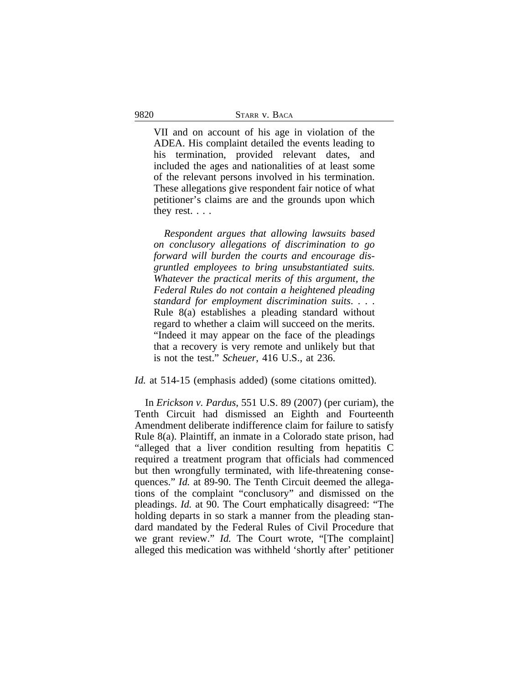VII and on account of his age in violation of the ADEA. His complaint detailed the events leading to his termination, provided relevant dates, and included the ages and nationalities of at least some of the relevant persons involved in his termination. These allegations give respondent fair notice of what petitioner's claims are and the grounds upon which they rest. . . .

*Respondent argues that allowing lawsuits based on conclusory allegations of discrimination to go forward will burden the courts and encourage disgruntled employees to bring unsubstantiated suits. Whatever the practical merits of this argument, the Federal Rules do not contain a heightened pleading standard for employment discrimination suits*. . . . Rule 8(a) establishes a pleading standard without regard to whether a claim will succeed on the merits. "Indeed it may appear on the face of the pleadings that a recovery is very remote and unlikely but that is not the test." *Scheuer*, 416 U.S., at 236.

#### *Id.* at 514-15 (emphasis added) (some citations omitted).

In *Erickson v. Pardus*, 551 U.S. 89 (2007) (per curiam), the Tenth Circuit had dismissed an Eighth and Fourteenth Amendment deliberate indifference claim for failure to satisfy Rule 8(a). Plaintiff, an inmate in a Colorado state prison, had "alleged that a liver condition resulting from hepatitis C required a treatment program that officials had commenced but then wrongfully terminated, with life-threatening consequences." *Id.* at 89-90. The Tenth Circuit deemed the allegations of the complaint "conclusory" and dismissed on the pleadings. *Id.* at 90. The Court emphatically disagreed: "The holding departs in so stark a manner from the pleading standard mandated by the Federal Rules of Civil Procedure that we grant review." *Id.* The Court wrote, "[The complaint] alleged this medication was withheld 'shortly after' petitioner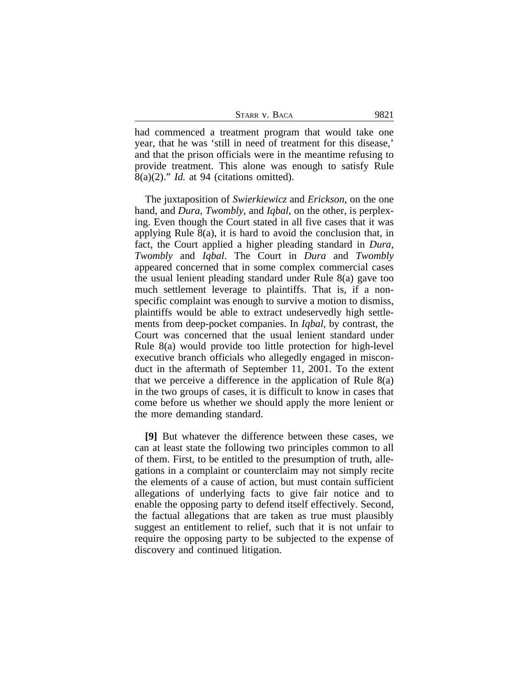| STARR V. BACA |  | 9821 |
|---------------|--|------|
|               |  |      |

had commenced a treatment program that would take one year, that he was 'still in need of treatment for this disease,' and that the prison officials were in the meantime refusing to provide treatment. This alone was enough to satisfy Rule 8(a)(2)." *Id.* at 94 (citations omitted).

The juxtaposition of *Swierkiewicz* and *Erickson*, on the one hand, and *Dura*, *Twombly*, and *Iqbal*, on the other, is perplexing. Even though the Court stated in all five cases that it was applying Rule 8(a), it is hard to avoid the conclusion that, in fact, the Court applied a higher pleading standard in *Dura*, *Twombly* and *Iqbal*. The Court in *Dura* and *Twombly* appeared concerned that in some complex commercial cases the usual lenient pleading standard under Rule 8(a) gave too much settlement leverage to plaintiffs. That is, if a nonspecific complaint was enough to survive a motion to dismiss, plaintiffs would be able to extract undeservedly high settlements from deep-pocket companies. In *Iqbal*, by contrast, the Court was concerned that the usual lenient standard under Rule 8(a) would provide too little protection for high-level executive branch officials who allegedly engaged in misconduct in the aftermath of September 11, 2001. To the extent that we perceive a difference in the application of Rule 8(a) in the two groups of cases, it is difficult to know in cases that come before us whether we should apply the more lenient or the more demanding standard.

**[9]** But whatever the difference between these cases, we can at least state the following two principles common to all of them. First, to be entitled to the presumption of truth, allegations in a complaint or counterclaim may not simply recite the elements of a cause of action, but must contain sufficient allegations of underlying facts to give fair notice and to enable the opposing party to defend itself effectively. Second, the factual allegations that are taken as true must plausibly suggest an entitlement to relief, such that it is not unfair to require the opposing party to be subjected to the expense of discovery and continued litigation.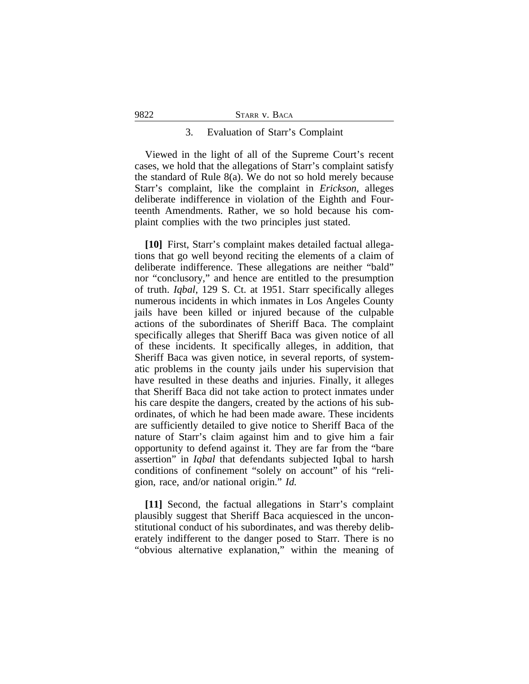#### 9822 STARR v. BACA

#### 3. Evaluation of Starr's Complaint

Viewed in the light of all of the Supreme Court's recent cases, we hold that the allegations of Starr's complaint satisfy the standard of Rule 8(a). We do not so hold merely because Starr's complaint, like the complaint in *Erickson*, alleges deliberate indifference in violation of the Eighth and Fourteenth Amendments. Rather, we so hold because his complaint complies with the two principles just stated.

**[10]** First, Starr's complaint makes detailed factual allegations that go well beyond reciting the elements of a claim of deliberate indifference. These allegations are neither "bald" nor "conclusory," and hence are entitled to the presumption of truth. *Iqbal*, 129 S. Ct. at 1951. Starr specifically alleges numerous incidents in which inmates in Los Angeles County jails have been killed or injured because of the culpable actions of the subordinates of Sheriff Baca. The complaint specifically alleges that Sheriff Baca was given notice of all of these incidents. It specifically alleges, in addition, that Sheriff Baca was given notice, in several reports, of systematic problems in the county jails under his supervision that have resulted in these deaths and injuries. Finally, it alleges that Sheriff Baca did not take action to protect inmates under his care despite the dangers, created by the actions of his subordinates, of which he had been made aware. These incidents are sufficiently detailed to give notice to Sheriff Baca of the nature of Starr's claim against him and to give him a fair opportunity to defend against it. They are far from the "bare assertion" in *Iqbal* that defendants subjected Iqbal to harsh conditions of confinement "solely on account" of his "religion, race, and/or national origin." *Id.*

**[11]** Second, the factual allegations in Starr's complaint plausibly suggest that Sheriff Baca acquiesced in the unconstitutional conduct of his subordinates, and was thereby deliberately indifferent to the danger posed to Starr. There is no "obvious alternative explanation," within the meaning of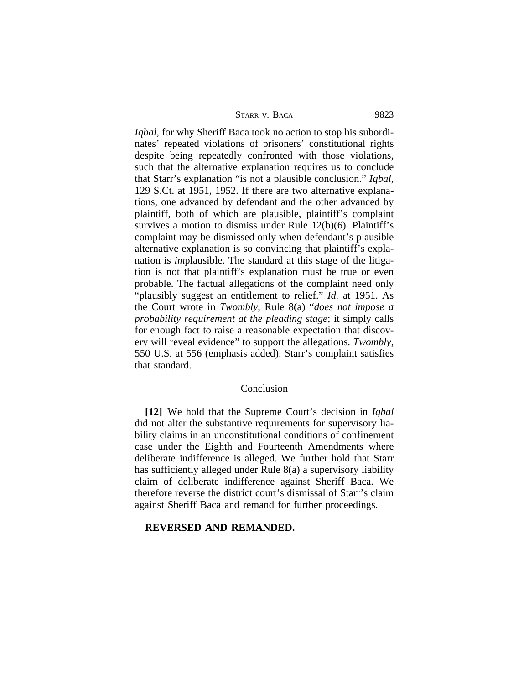| STARR V. BACA |  | 9823 |
|---------------|--|------|
|               |  |      |

*Iqbal*, for why Sheriff Baca took no action to stop his subordinates' repeated violations of prisoners' constitutional rights despite being repeatedly confronted with those violations, such that the alternative explanation requires us to conclude that Starr's explanation "is not a plausible conclusion." *Iqbal*, 129 S.Ct. at 1951, 1952. If there are two alternative explanations, one advanced by defendant and the other advanced by plaintiff, both of which are plausible, plaintiff's complaint survives a motion to dismiss under Rule 12(b)(6). Plaintiff's complaint may be dismissed only when defendant's plausible alternative explanation is so convincing that plaintiff's explanation is *im*plausible. The standard at this stage of the litigation is not that plaintiff's explanation must be true or even probable. The factual allegations of the complaint need only "plausibly suggest an entitlement to relief." *Id.* at 1951. As the Court wrote in *Twombly*, Rule 8(a) "*does not impose a probability requirement at the pleading stage*; it simply calls for enough fact to raise a reasonable expectation that discovery will reveal evidence" to support the allegations. *Twombly*, 550 U.S. at 556 (emphasis added). Starr's complaint satisfies that standard.

#### Conclusion

**[12]** We hold that the Supreme Court's decision in *Iqbal* did not alter the substantive requirements for supervisory liability claims in an unconstitutional conditions of confinement case under the Eighth and Fourteenth Amendments where deliberate indifference is alleged. We further hold that Starr has sufficiently alleged under Rule 8(a) a supervisory liability claim of deliberate indifference against Sheriff Baca. We therefore reverse the district court's dismissal of Starr's claim against Sheriff Baca and remand for further proceedings.

## **REVERSED AND REMANDED.**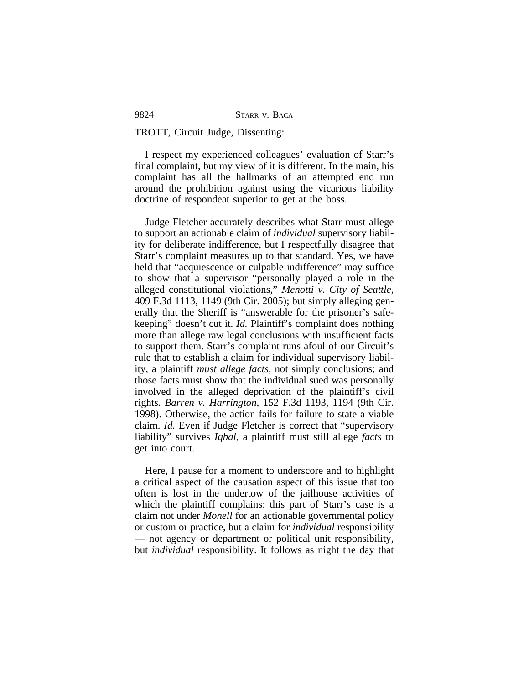#### TROTT, Circuit Judge, Dissenting:

9824

I respect my experienced colleagues' evaluation of Starr's final complaint, but my view of it is different. In the main, his complaint has all the hallmarks of an attempted end run around the prohibition against using the vicarious liability doctrine of respondeat superior to get at the boss.

Judge Fletcher accurately describes what Starr must allege to support an actionable claim of *individual* supervisory liability for deliberate indifference, but I respectfully disagree that Starr's complaint measures up to that standard. Yes, we have held that "acquiescence or culpable indifference" may suffice to show that a supervisor "personally played a role in the alleged constitutional violations," *Menotti v. City of Seattle*, 409 F.3d 1113, 1149 (9th Cir. 2005); but simply alleging generally that the Sheriff is "answerable for the prisoner's safekeeping" doesn't cut it. *Id.* Plaintiff's complaint does nothing more than allege raw legal conclusions with insufficient facts to support them. Starr's complaint runs afoul of our Circuit's rule that to establish a claim for individual supervisory liability, a plaintiff *must allege facts*, not simply conclusions; and those facts must show that the individual sued was personally involved in the alleged deprivation of the plaintiff's civil rights. *Barren v. Harrington*, 152 F.3d 1193, 1194 (9th Cir. 1998). Otherwise, the action fails for failure to state a viable claim. *Id.* Even if Judge Fletcher is correct that "supervisory liability" survives *Iqbal*, a plaintiff must still allege *facts* to get into court.

Here, I pause for a moment to underscore and to highlight a critical aspect of the causation aspect of this issue that too often is lost in the undertow of the jailhouse activities of which the plaintiff complains: this part of Starr's case is a claim not under *Monell* for an actionable governmental policy or custom or practice, but a claim for *individual* responsibility — not agency or department or political unit responsibility, but *individual* responsibility. It follows as night the day that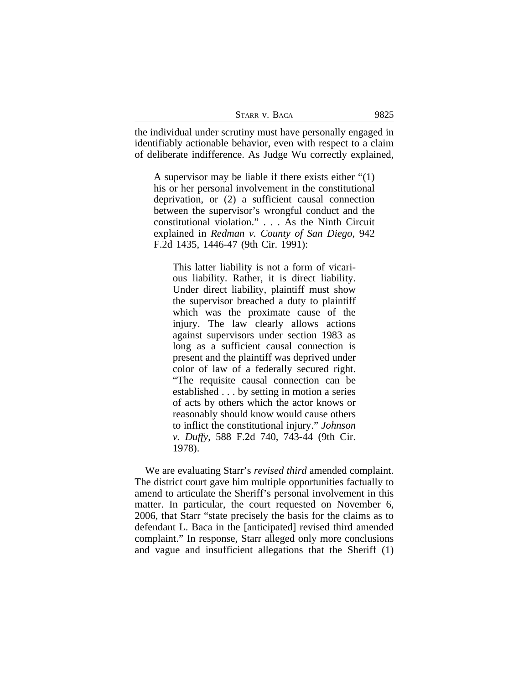| STARR V. BACA | 9825 |
|---------------|------|
|---------------|------|

the individual under scrutiny must have personally engaged in identifiably actionable behavior, even with respect to a claim of deliberate indifference. As Judge Wu correctly explained,

A supervisor may be liable if there exists either "(1) his or her personal involvement in the constitutional deprivation, or (2) a sufficient causal connection between the supervisor's wrongful conduct and the constitutional violation." . . . As the Ninth Circuit explained in *Redman v. County of San Diego*, 942 F.2d 1435, 1446-47 (9th Cir. 1991):

This latter liability is not a form of vicarious liability. Rather, it is direct liability. Under direct liability, plaintiff must show the supervisor breached a duty to plaintiff which was the proximate cause of the injury. The law clearly allows actions against supervisors under section 1983 as long as a sufficient causal connection is present and the plaintiff was deprived under color of law of a federally secured right. "The requisite causal connection can be established . . . by setting in motion a series of acts by others which the actor knows or reasonably should know would cause others to inflict the constitutional injury." *Johnson v. Duffy*, 588 F.2d 740, 743-44 (9th Cir. 1978).

We are evaluating Starr's *revised third* amended complaint. The district court gave him multiple opportunities factually to amend to articulate the Sheriff's personal involvement in this matter. In particular, the court requested on November 6, 2006, that Starr "state precisely the basis for the claims as to defendant L. Baca in the [anticipated] revised third amended complaint." In response, Starr alleged only more conclusions and vague and insufficient allegations that the Sheriff (1)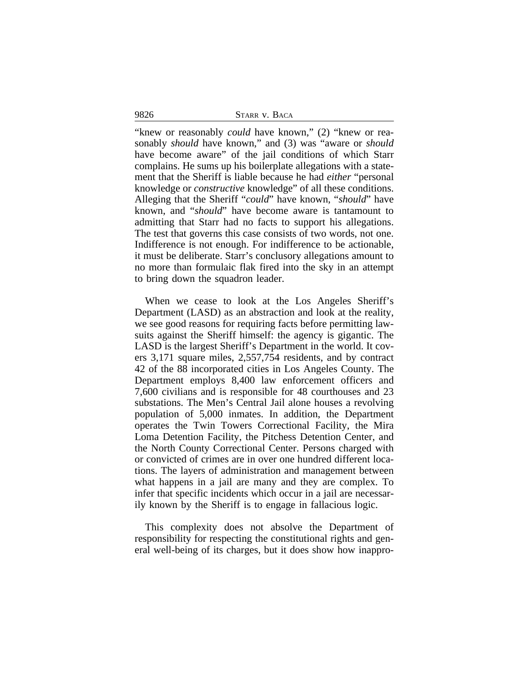9826 STARR v. BACA

"knew or reasonably *could* have known," (2) "knew or reasonably *should* have known," and (3) was "aware or *should* have become aware" of the jail conditions of which Starr complains. He sums up his boilerplate allegations with a statement that the Sheriff is liable because he had *either* "personal knowledge or *constructive* knowledge" of all these conditions. Alleging that the Sheriff "*could*" have known, "*should*" have known, and "*should*" have become aware is tantamount to admitting that Starr had no facts to support his allegations. The test that governs this case consists of two words, not one. Indifference is not enough. For indifference to be actionable, it must be deliberate. Starr's conclusory allegations amount to no more than formulaic flak fired into the sky in an attempt to bring down the squadron leader.

When we cease to look at the Los Angeles Sheriff's Department (LASD) as an abstraction and look at the reality, we see good reasons for requiring facts before permitting lawsuits against the Sheriff himself: the agency is gigantic. The LASD is the largest Sheriff's Department in the world. It covers 3,171 square miles, 2,557,754 residents, and by contract 42 of the 88 incorporated cities in Los Angeles County. The Department employs 8,400 law enforcement officers and 7,600 civilians and is responsible for 48 courthouses and 23 substations. The Men's Central Jail alone houses a revolving population of 5,000 inmates. In addition, the Department operates the Twin Towers Correctional Facility, the Mira Loma Detention Facility, the Pitchess Detention Center, and the North County Correctional Center. Persons charged with or convicted of crimes are in over one hundred different locations. The layers of administration and management between what happens in a jail are many and they are complex. To infer that specific incidents which occur in a jail are necessarily known by the Sheriff is to engage in fallacious logic.

This complexity does not absolve the Department of responsibility for respecting the constitutional rights and general well-being of its charges, but it does show how inappro-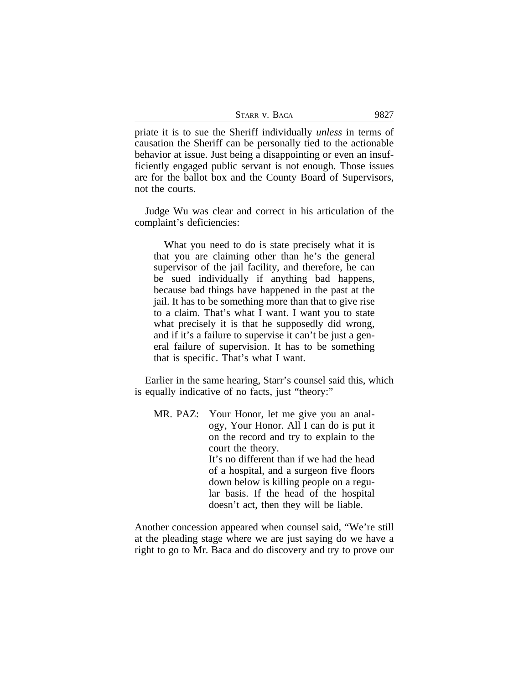| STARR V. BACA |  | 9827 |
|---------------|--|------|
|---------------|--|------|

priate it is to sue the Sheriff individually *unless* in terms of causation the Sheriff can be personally tied to the actionable behavior at issue. Just being a disappointing or even an insufficiently engaged public servant is not enough. Those issues are for the ballot box and the County Board of Supervisors, not the courts.

Judge Wu was clear and correct in his articulation of the complaint's deficiencies:

What you need to do is state precisely what it is that you are claiming other than he's the general supervisor of the jail facility, and therefore, he can be sued individually if anything bad happens, because bad things have happened in the past at the jail. It has to be something more than that to give rise to a claim. That's what I want. I want you to state what precisely it is that he supposedly did wrong, and if it's a failure to supervise it can't be just a general failure of supervision. It has to be something that is specific. That's what I want.

Earlier in the same hearing, Starr's counsel said this, which is equally indicative of no facts, just "theory:"

MR. PAZ: Your Honor, let me give you an analogy, Your Honor. All I can do is put it on the record and try to explain to the court the theory. It's no different than if we had the head of a hospital, and a surgeon five floors down below is killing people on a regular basis. If the head of the hospital doesn't act, then they will be liable.

Another concession appeared when counsel said, "We're still at the pleading stage where we are just saying do we have a right to go to Mr. Baca and do discovery and try to prove our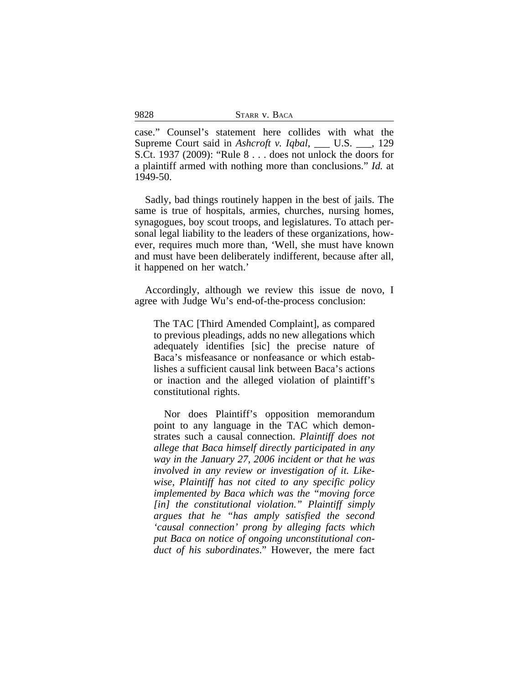| STARR V. BACA |  |  |
|---------------|--|--|
|---------------|--|--|

case." Counsel's statement here collides with what the Supreme Court said in *Ashcroft v. Iqbal*, \_\_\_ U.S. \_\_\_, 129 S.Ct. 1937 (2009): "Rule 8 . . . does not unlock the doors for a plaintiff armed with nothing more than conclusions." *Id.* at 1949-50.

Sadly, bad things routinely happen in the best of jails. The same is true of hospitals, armies, churches, nursing homes, synagogues, boy scout troops, and legislatures. To attach personal legal liability to the leaders of these organizations, however, requires much more than, 'Well, she must have known and must have been deliberately indifferent, because after all, it happened on her watch.'

Accordingly, although we review this issue de novo, I agree with Judge Wu's end-of-the-process conclusion:

The TAC [Third Amended Complaint], as compared to previous pleadings, adds no new allegations which adequately identifies [sic] the precise nature of Baca's misfeasance or nonfeasance or which establishes a sufficient causal link between Baca's actions or inaction and the alleged violation of plaintiff's constitutional rights.

Nor does Plaintiff's opposition memorandum point to any language in the TAC which demonstrates such a causal connection. *Plaintiff does not allege that Baca himself directly participated in any way in the January 27, 2006 incident or that he was involved in any review or investigation of it. Likewise, Plaintiff has not cited to any specific policy implemented by Baca which was the "moving force [in] the constitutional violation." Plaintiff simply argues that he "has amply satisfied the second 'causal connection' prong by alleging facts which put Baca on notice of ongoing unconstitutional conduct of his subordinates*." However, the mere fact

9828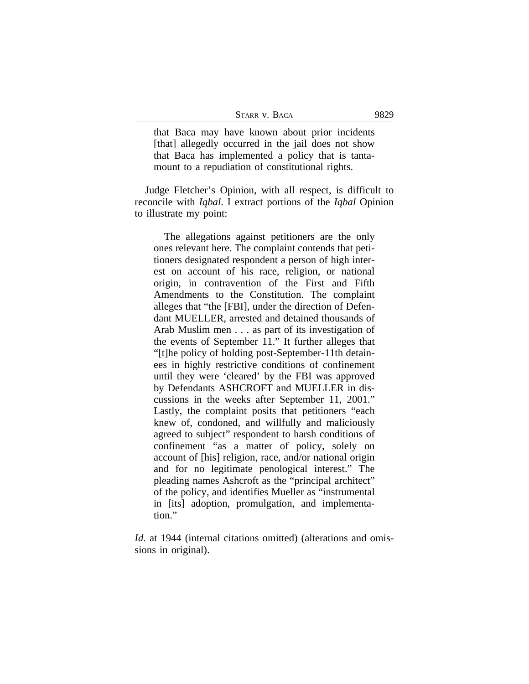| STARR V. BACA | 9829 |
|---------------|------|
|---------------|------|

that Baca may have known about prior incidents [that] allegedly occurred in the jail does not show that Baca has implemented a policy that is tantamount to a repudiation of constitutional rights.

Judge Fletcher's Opinion, with all respect, is difficult to reconcile with *Iqbal*. I extract portions of the *Iqbal* Opinion to illustrate my point:

The allegations against petitioners are the only ones relevant here. The complaint contends that petitioners designated respondent a person of high interest on account of his race, religion, or national origin, in contravention of the First and Fifth Amendments to the Constitution. The complaint alleges that "the [FBI], under the direction of Defendant MUELLER, arrested and detained thousands of Arab Muslim men . . . as part of its investigation of the events of September 11." It further alleges that "[t]he policy of holding post-September-11th detainees in highly restrictive conditions of confinement until they were 'cleared' by the FBI was approved by Defendants ASHCROFT and MUELLER in discussions in the weeks after September 11, 2001." Lastly, the complaint posits that petitioners "each knew of, condoned, and willfully and maliciously agreed to subject" respondent to harsh conditions of confinement "as a matter of policy, solely on account of [his] religion, race, and/or national origin and for no legitimate penological interest." The pleading names Ashcroft as the "principal architect" of the policy, and identifies Mueller as "instrumental in [its] adoption, promulgation, and implementation."

*Id.* at 1944 (internal citations omitted) (alterations and omissions in original).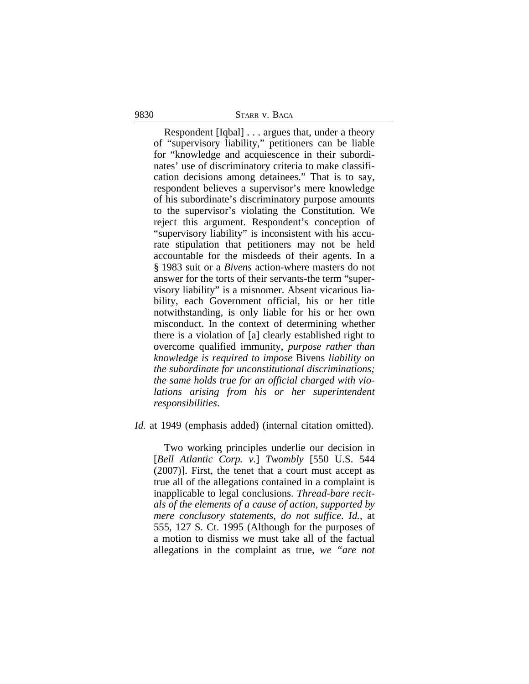9830 STARR v. BACA

Respondent [Iqbal] . . . argues that, under a theory of "supervisory liability," petitioners can be liable for "knowledge and acquiescence in their subordinates' use of discriminatory criteria to make classification decisions among detainees." That is to say, respondent believes a supervisor's mere knowledge of his subordinate's discriminatory purpose amounts to the supervisor's violating the Constitution. We reject this argument. Respondent's conception of "supervisory liability" is inconsistent with his accurate stipulation that petitioners may not be held accountable for the misdeeds of their agents. In a § 1983 suit or a *Bivens* action-where masters do not answer for the torts of their servants-the term "supervisory liability" is a misnomer. Absent vicarious liability, each Government official, his or her title notwithstanding, is only liable for his or her own misconduct. In the context of determining whether there is a violation of [a] clearly established right to overcome qualified immunity, *purpose rather than knowledge is required to impose* Bivens *liability on the subordinate for unconstitutional discriminations; the same holds true for an official charged with violations arising from his or her superintendent responsibilities*.

#### *Id.* at 1949 (emphasis added) (internal citation omitted).

Two working principles underlie our decision in [*Bell Atlantic Corp. v.*] *Twombly* [550 U.S. 544 (2007)]. First, the tenet that a court must accept as true all of the allegations contained in a complaint is inapplicable to legal conclusions. *Thread-bare recitals of the elements of a cause of action, supported by mere conclusory statements, do not suffice*. *Id.*, at 555, 127 S. Ct. 1995 (Although for the purposes of a motion to dismiss we must take all of the factual allegations in the complaint as true, *we "are not*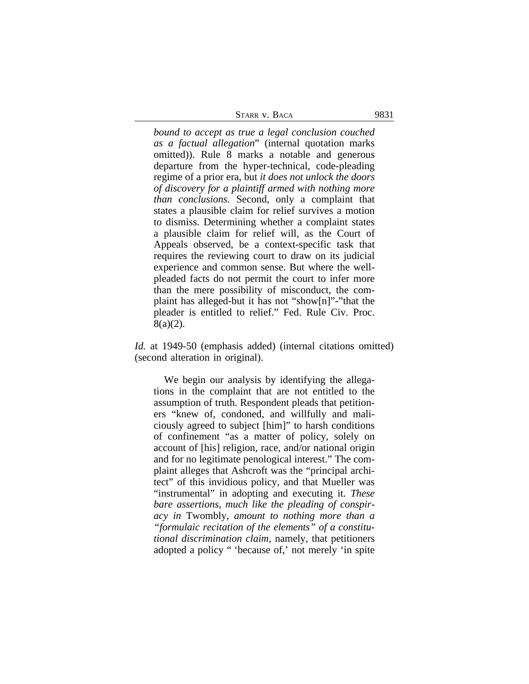| STARR V. BACA | 9831 |
|---------------|------|
|               |      |

*bound to accept as true a legal conclusion couched as a factual allegation*" (internal quotation marks omitted)). Rule 8 marks a notable and generous departure from the hyper-technical, code-pleading regime of a prior era, but *it does not unlock the doors of discovery for a plaintiff armed with nothing more than conclusions*. Second, only a complaint that states a plausible claim for relief survives a motion to dismiss. Determining whether a complaint states a plausible claim for relief will, as the Court of Appeals observed, be a context-specific task that requires the reviewing court to draw on its judicial experience and common sense. But where the wellpleaded facts do not permit the court to infer more than the mere possibility of misconduct, the complaint has alleged-but it has not "show[n]"-"that the pleader is entitled to relief." Fed. Rule Civ. Proc.  $8(a)(2)$ .

*Id.* at 1949-50 (emphasis added) (internal citations omitted) (second alteration in original).

We begin our analysis by identifying the allegations in the complaint that are not entitled to the assumption of truth. Respondent pleads that petitioners "knew of, condoned, and willfully and maliciously agreed to subject [him]" to harsh conditions of confinement "as a matter of policy, solely on account of [his] religion, race, and/or national origin and for no legitimate penological interest." The complaint alleges that Ashcroft was the "principal architect" of this invidious policy, and that Mueller was "instrumental" in adopting and executing it. *These bare assertions, much like the pleading of conspiracy in* Twombly, *amount to nothing more than a "formulaic recitation of the elements" of a constitutional discrimination claim*, namely, that petitioners adopted a policy " 'because of,' not merely 'in spite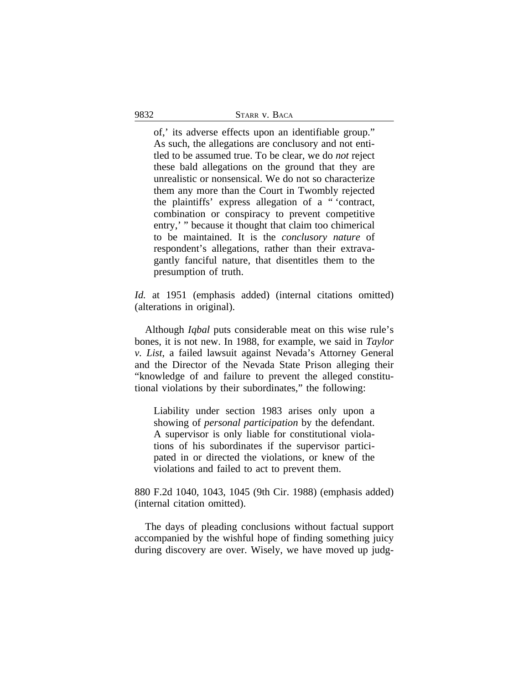of,' its adverse effects upon an identifiable group." As such, the allegations are conclusory and not entitled to be assumed true. To be clear, we do *not* reject these bald allegations on the ground that they are unrealistic or nonsensical. We do not so characterize them any more than the Court in Twombly rejected the plaintiffs' express allegation of a " 'contract, combination or conspiracy to prevent competitive entry,' " because it thought that claim too chimerical to be maintained. It is the *conclusory nature* of respondent's allegations, rather than their extravagantly fanciful nature, that disentitles them to the presumption of truth.

*Id.* at 1951 (emphasis added) (internal citations omitted) (alterations in original).

Although *Iqbal* puts considerable meat on this wise rule's bones, it is not new. In 1988, for example, we said in *Taylor v. List*, a failed lawsuit against Nevada's Attorney General and the Director of the Nevada State Prison alleging their "knowledge of and failure to prevent the alleged constitutional violations by their subordinates," the following:

Liability under section 1983 arises only upon a showing of *personal participation* by the defendant. A supervisor is only liable for constitutional violations of his subordinates if the supervisor participated in or directed the violations, or knew of the violations and failed to act to prevent them.

880 F.2d 1040, 1043, 1045 (9th Cir. 1988) (emphasis added) (internal citation omitted).

The days of pleading conclusions without factual support accompanied by the wishful hope of finding something juicy during discovery are over. Wisely, we have moved up judg-